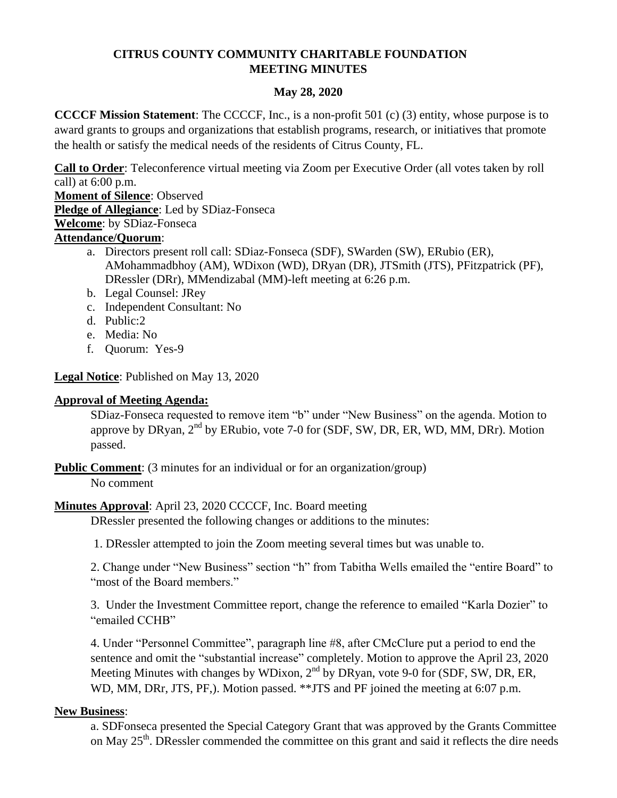# **CITRUS COUNTY COMMUNITY CHARITABLE FOUNDATION MEETING MINUTES**

## **May 28, 2020**

**CCCCF Mission Statement**: The CCCCF, Inc., is a non-profit 501 (c) (3) entity, whose purpose is to award grants to groups and organizations that establish programs, research, or initiatives that promote the health or satisfy the medical needs of the residents of Citrus County, FL.

**Call to Order**: Teleconference virtual meeting via Zoom per Executive Order (all votes taken by roll call) at 6:00 p.m.

**Moment of Silence**: Observed

**Pledge of Allegiance**: Led by SDiaz-Fonseca

**Welcome**: by SDiaz-Fonseca

## **Attendance/Quorum**:

- a. Directors present roll call: SDiaz-Fonseca (SDF), SWarden (SW), ERubio (ER), AMohammadbhoy (AM), WDixon (WD), DRyan (DR), JTSmith (JTS), PFitzpatrick (PF), DRessler (DRr), MMendizabal (MM)-left meeting at 6:26 p.m.
- b. Legal Counsel: JRey
- c. Independent Consultant: No
- d. Public:2
- e. Media: No
- f. Quorum: Yes-9

## **Legal Notice**: Published on May 13, 2020

### **Approval of Meeting Agenda:**

SDiaz-Fonseca requested to remove item "b" under "New Business" on the agenda. Motion to approve by DRyan, 2<sup>nd</sup> by ERubio, vote 7-0 for (SDF, SW, DR, ER, WD, MM, DRr). Motion passed.

**Public Comment**: (3 minutes for an individual or for an organization/group) No comment

## **Minutes Approval**: April 23, 2020 CCCCF, Inc. Board meeting

DRessler presented the following changes or additions to the minutes:

1. DRessler attempted to join the Zoom meeting several times but was unable to.

2. Change under "New Business" section "h" from Tabitha Wells emailed the "entire Board" to "most of the Board members."

3. Under the Investment Committee report, change the reference to emailed "Karla Dozier" to "emailed CCHB"

4. Under "Personnel Committee", paragraph line #8, after CMcClure put a period to end the sentence and omit the "substantial increase" completely. Motion to approve the April 23, 2020 Meeting Minutes with changes by WDixon,  $2<sup>nd</sup>$  by DRyan, vote 9-0 for (SDF, SW, DR, ER, WD, MM, DRr, JTS, PF,). Motion passed. \*\*JTS and PF joined the meeting at 6:07 p.m.

### **New Business**:

a. SDFonseca presented the Special Category Grant that was approved by the Grants Committee on May 25<sup>th</sup>. DRessler commended the committee on this grant and said it reflects the dire needs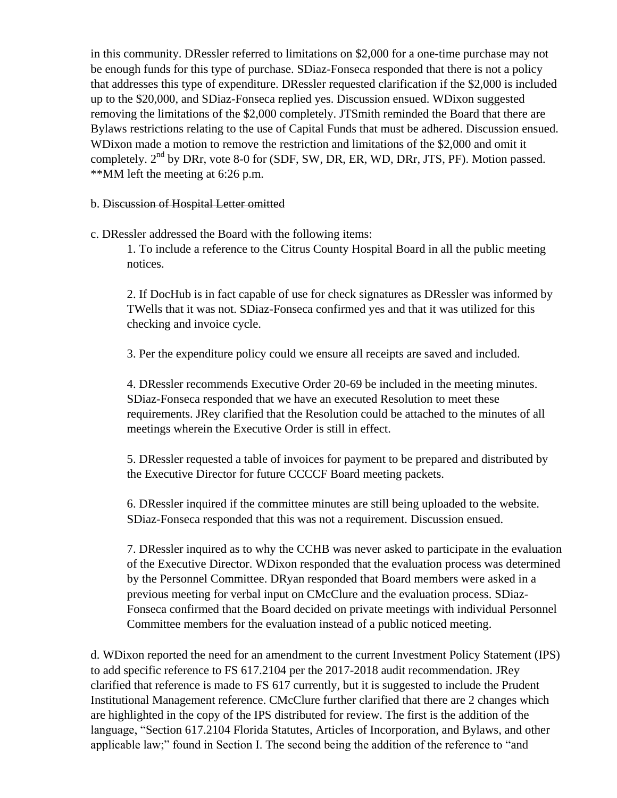in this community. DRessler referred to limitations on \$2,000 for a one-time purchase may not be enough funds for this type of purchase. SDiaz-Fonseca responded that there is not a policy that addresses this type of expenditure. DRessler requested clarification if the \$2,000 is included up to the \$20,000, and SDiaz-Fonseca replied yes. Discussion ensued. WDixon suggested removing the limitations of the \$2,000 completely. JTSmith reminded the Board that there are Bylaws restrictions relating to the use of Capital Funds that must be adhered. Discussion ensued. WDixon made a motion to remove the restriction and limitations of the \$2,000 and omit it completely.  $2<sup>nd</sup>$  by DRr, vote 8-0 for (SDF, SW, DR, ER, WD, DRr, JTS, PF). Motion passed. \*\*MM left the meeting at 6:26 p.m.

#### b. Discussion of Hospital Letter omitted

c. DRessler addressed the Board with the following items:

1. To include a reference to the Citrus County Hospital Board in all the public meeting notices.

2. If DocHub is in fact capable of use for check signatures as DRessler was informed by TWells that it was not. SDiaz-Fonseca confirmed yes and that it was utilized for this checking and invoice cycle.

3. Per the expenditure policy could we ensure all receipts are saved and included.

4. DRessler recommends Executive Order 20-69 be included in the meeting minutes. SDiaz-Fonseca responded that we have an executed Resolution to meet these requirements. JRey clarified that the Resolution could be attached to the minutes of all meetings wherein the Executive Order is still in effect.

5. DRessler requested a table of invoices for payment to be prepared and distributed by the Executive Director for future CCCCF Board meeting packets.

6. DRessler inquired if the committee minutes are still being uploaded to the website. SDiaz-Fonseca responded that this was not a requirement. Discussion ensued.

7. DRessler inquired as to why the CCHB was never asked to participate in the evaluation of the Executive Director. WDixon responded that the evaluation process was determined by the Personnel Committee. DRyan responded that Board members were asked in a previous meeting for verbal input on CMcClure and the evaluation process. SDiaz-Fonseca confirmed that the Board decided on private meetings with individual Personnel Committee members for the evaluation instead of a public noticed meeting.

d. WDixon reported the need for an amendment to the current Investment Policy Statement (IPS) to add specific reference to FS 617.2104 per the 2017-2018 audit recommendation. JRey clarified that reference is made to FS 617 currently, but it is suggested to include the Prudent Institutional Management reference. CMcClure further clarified that there are 2 changes which are highlighted in the copy of the IPS distributed for review. The first is the addition of the language, "Section 617.2104 Florida Statutes, Articles of Incorporation, and Bylaws, and other applicable law;" found in Section I. The second being the addition of the reference to "and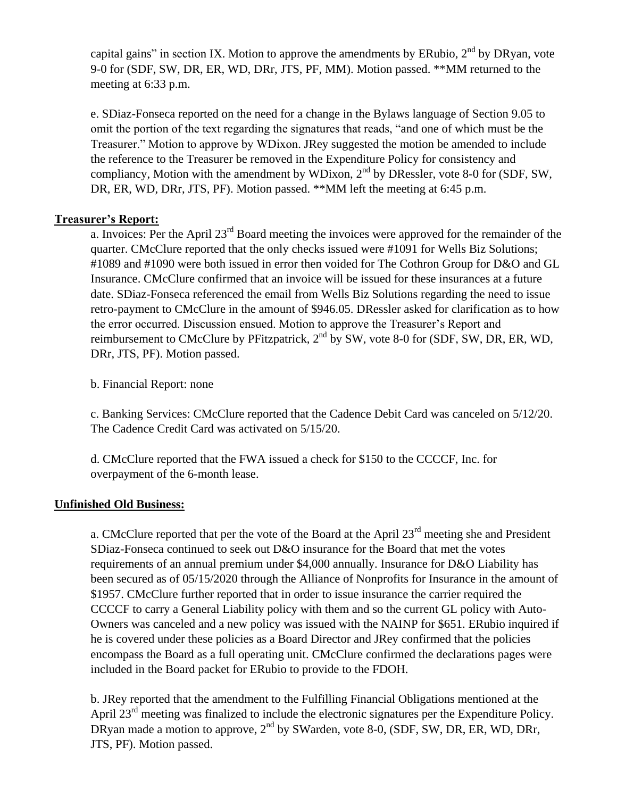capital gains" in section IX. Motion to approve the amendments by ERubio,  $2<sup>nd</sup>$  by DRyan, vote 9-0 for (SDF, SW, DR, ER, WD, DRr, JTS, PF, MM). Motion passed. \*\*MM returned to the meeting at 6:33 p.m.

e. SDiaz-Fonseca reported on the need for a change in the Bylaws language of Section 9.05 to omit the portion of the text regarding the signatures that reads, "and one of which must be the Treasurer." Motion to approve by WDixon. JRey suggested the motion be amended to include the reference to the Treasurer be removed in the Expenditure Policy for consistency and compliancy, Motion with the amendment by WDixon,  $2<sup>nd</sup>$  by DRessler, vote 8-0 for (SDF, SW, DR, ER, WD, DRr, JTS, PF). Motion passed. \*\*MM left the meeting at 6:45 p.m.

## **Treasurer's Report:**

a. Invoices: Per the April 23<sup>rd</sup> Board meeting the invoices were approved for the remainder of the quarter. CMcClure reported that the only checks issued were #1091 for Wells Biz Solutions; #1089 and #1090 were both issued in error then voided for The Cothron Group for D&O and GL Insurance. CMcClure confirmed that an invoice will be issued for these insurances at a future date. SDiaz-Fonseca referenced the email from Wells Biz Solutions regarding the need to issue retro-payment to CMcClure in the amount of \$946.05. DRessler asked for clarification as to how the error occurred. Discussion ensued. Motion to approve the Treasurer's Report and reimbursement to CMcClure by PFitzpatrick, 2<sup>nd</sup> by SW, vote 8-0 for (SDF, SW, DR, ER, WD, DRr, JTS, PF). Motion passed.

b. Financial Report: none

c. Banking Services: CMcClure reported that the Cadence Debit Card was canceled on 5/12/20. The Cadence Credit Card was activated on 5/15/20.

d. CMcClure reported that the FWA issued a check for \$150 to the CCCCF, Inc. for overpayment of the 6-month lease.

### **Unfinished Old Business:**

a. CMcClure reported that per the vote of the Board at the April  $23<sup>rd</sup>$  meeting she and President SDiaz-Fonseca continued to seek out D&O insurance for the Board that met the votes requirements of an annual premium under \$4,000 annually. Insurance for D&O Liability has been secured as of 05/15/2020 through the Alliance of Nonprofits for Insurance in the amount of \$1957. CMcClure further reported that in order to issue insurance the carrier required the CCCCF to carry a General Liability policy with them and so the current GL policy with Auto-Owners was canceled and a new policy was issued with the NAINP for \$651. ERubio inquired if he is covered under these policies as a Board Director and JRey confirmed that the policies encompass the Board as a full operating unit. CMcClure confirmed the declarations pages were included in the Board packet for ERubio to provide to the FDOH.

b. JRey reported that the amendment to the Fulfilling Financial Obligations mentioned at the April 23<sup>rd</sup> meeting was finalized to include the electronic signatures per the Expenditure Policy. DRyan made a motion to approve,  $2<sup>nd</sup>$  by SWarden, vote 8-0, (SDF, SW, DR, ER, WD, DRr, JTS, PF). Motion passed.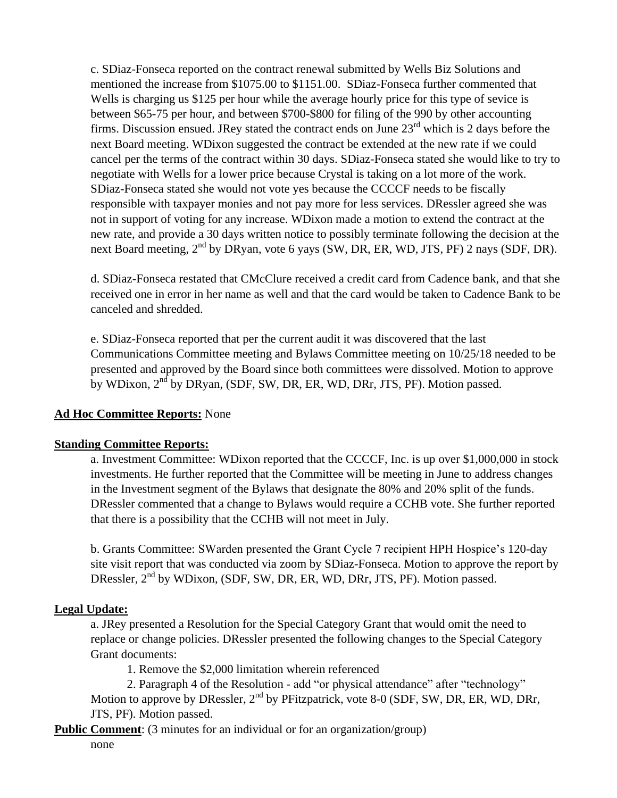c. SDiaz-Fonseca reported on the contract renewal submitted by Wells Biz Solutions and mentioned the increase from \$1075.00 to \$1151.00. SDiaz-Fonseca further commented that Wells is charging us \$125 per hour while the average hourly price for this type of sevice is between \$65-75 per hour, and between \$700-\$800 for filing of the 990 by other accounting firms. Discussion ensued. JRey stated the contract ends on June  $23<sup>rd</sup>$  which is 2 days before the next Board meeting. WDixon suggested the contract be extended at the new rate if we could cancel per the terms of the contract within 30 days. SDiaz-Fonseca stated she would like to try to negotiate with Wells for a lower price because Crystal is taking on a lot more of the work. SDiaz-Fonseca stated she would not vote yes because the CCCCF needs to be fiscally responsible with taxpayer monies and not pay more for less services. DRessler agreed she was not in support of voting for any increase. WDixon made a motion to extend the contract at the new rate, and provide a 30 days written notice to possibly terminate following the decision at the next Board meeting, 2<sup>nd</sup> by DRyan, vote 6 yays (SW, DR, ER, WD, JTS, PF) 2 nays (SDF, DR).

d. SDiaz-Fonseca restated that CMcClure received a credit card from Cadence bank, and that she received one in error in her name as well and that the card would be taken to Cadence Bank to be canceled and shredded.

e. SDiaz-Fonseca reported that per the current audit it was discovered that the last Communications Committee meeting and Bylaws Committee meeting on 10/25/18 needed to be presented and approved by the Board since both committees were dissolved. Motion to approve by WDixon, 2<sup>nd</sup> by DRyan, (SDF, SW, DR, ER, WD, DRr, JTS, PF). Motion passed.

## **Ad Hoc Committee Reports:** None

### **Standing Committee Reports:**

a. Investment Committee: WDixon reported that the CCCCF, Inc. is up over \$1,000,000 in stock investments. He further reported that the Committee will be meeting in June to address changes in the Investment segment of the Bylaws that designate the 80% and 20% split of the funds. DRessler commented that a change to Bylaws would require a CCHB vote. She further reported that there is a possibility that the CCHB will not meet in July.

b. Grants Committee: SWarden presented the Grant Cycle 7 recipient HPH Hospice's 120-day site visit report that was conducted via zoom by SDiaz-Fonseca. Motion to approve the report by DRessler, 2<sup>nd</sup> by WDixon, (SDF, SW, DR, ER, WD, DRr, JTS, PF). Motion passed.

#### **Legal Update:**

a. JRey presented a Resolution for the Special Category Grant that would omit the need to replace or change policies. DRessler presented the following changes to the Special Category Grant documents:

1. Remove the \$2,000 limitation wherein referenced

2. Paragraph 4 of the Resolution - add "or physical attendance" after "technology" Motion to approve by DRessler,  $2^{nd}$  by PFitzpatrick, vote 8-0 (SDF, SW, DR, ER, WD, DRr, JTS, PF). Motion passed.

**Public Comment**: (3 minutes for an individual or for an organization/group)